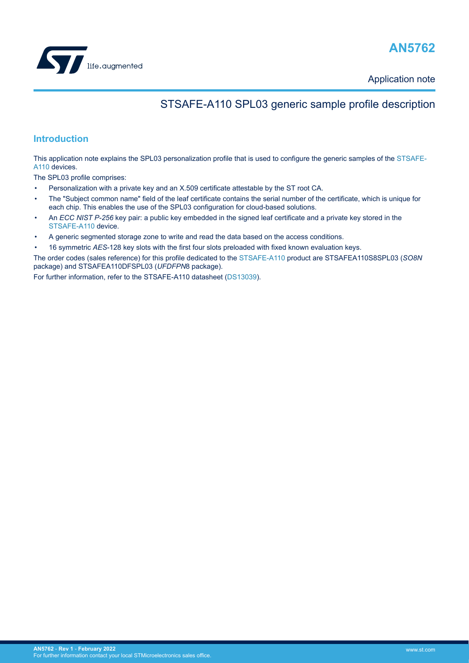



Application note

## STSAFE-A110 SPL03 generic sample profile description

## **Introduction**

This application note explains the SPL03 personalization profile that is used to configure the generic samples of the [STSAFE-](https://www.st.com/en/product/stsafe-a110?ecmp=tt9470_gl_link_feb2019&rt=an&id=AN5762)[A110](https://www.st.com/en/product/stsafe-a110?ecmp=tt9470_gl_link_feb2019&rt=an&id=AN5762) devices.

The SPL03 profile comprises:

- Personalization with a private key and an X.509 certificate attestable by the ST root CA.
- The "Subject common name" field of the leaf certificate contains the serial number of the certificate, which is unique for each chip. This enables the use of the SPL03 configuration for cloud-based solutions.
- An *[ECC](#page-11-0) [NIST](#page-11-0) P-256* key pair: a public key embedded in the signed leaf certificate and a private key stored in the [STSAFE-A110](https://www.st.com/en/product/stsafe-a110?ecmp=tt9470_gl_link_feb2019&rt=an&id=AN5762) device.
- A generic segmented storage zone to write and read the data based on the access conditions.

• 16 symmetric *[AES](#page-11-0)*-128 key slots with the first four slots preloaded with fixed known evaluation keys.

The order codes (sales reference) for this profile dedicated to the [STSAFE-A110](https://www.st.com/en/product/stsafe-a110?ecmp=tt9470_gl_link_feb2019&rt=an&id=AN5762) product are STSAFEA110S8SPL03 (*[SO8N](#page-11-0)* package) and STSAFEA110DFSPL03 (*[UFDFPN](#page-11-0)*8 package).

For further information, refer to the STSAFE-A110 datasheet [\(DS13039\)](https://www.st.com/en/product/stsafe-a110?ecmp=tt9470_gl_link_feb2019&rt=an&id=AN5762).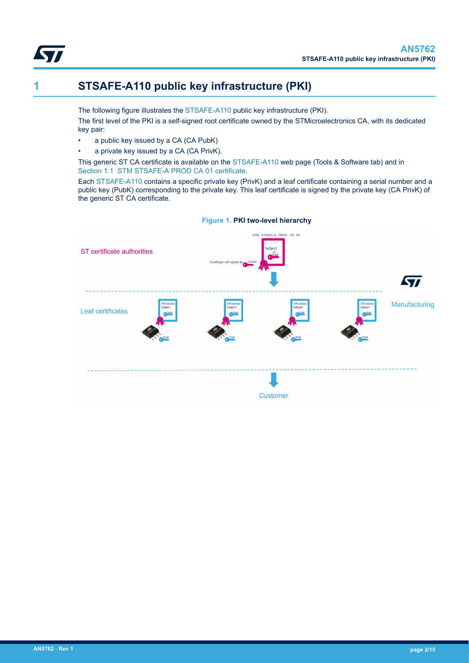<span id="page-1-0"></span>

## **1 STSAFE-A110 public key infrastructure (PKI)**

The following figure illustrates the [STSAFE-A110](https://www.st.com/en/product/stsafe-a110?ecmp=tt9470_gl_link_feb2019&rt=an&id=AN5762) public key infrastructure (PKI).

The first level of the PKI is a self-signed root certificate owned by the STMicroelectronics CA, with its dedicated key pair:

- a public key issued by a CA (CA PubK)
- a private key issued by a CA (CA PrivK).

This generic ST CA certificate is available on the [STSAFE-A110](https://www.st.com/en/product/stsafe-a110?ecmp=tt9470_gl_link_feb2019&rt=an&id=AN5762) web page (Tools & Software tab) and in [Section 1.1 STM STSAFE-A PROD CA 01 certificate.](#page-2-0)

Each [STSAFE-A110](https://www.st.com/en/product/stsafe-a110?ecmp=tt9470_gl_link_feb2019&rt=an&id=AN5762) contains a specific private key (PrivK) and a leaf certificate containing a serial number and a public key (PubK) corresponding to the private key. This leaf certificate is signed by the private key (CA PrivK) of the generic ST CA certificate.

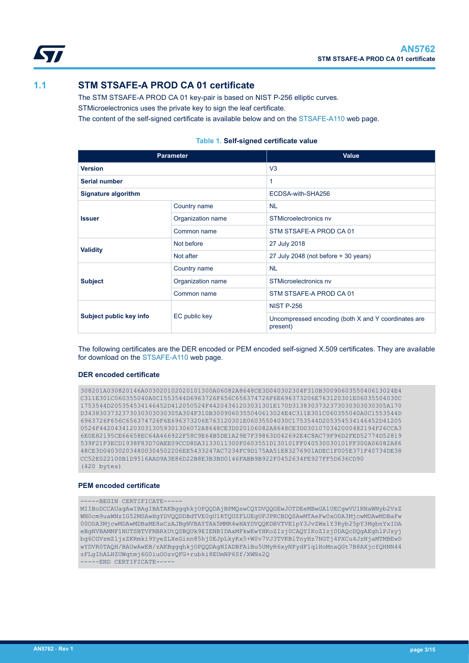<span id="page-2-0"></span>

## **1.1 STM STSAFE-A PROD CA 01 certificate**

The STM STSAFE-A PROD CA 01 key-pair is based on NIST P-256 elliptic curves. STMicroelectronics uses the private key to sign the leaf certificate.

The content of the self-signed certificate is available below and on the [STSAFE-A110](https://www.st.com/en/product/stsafe-a110?ecmp=tt9470_gl_link_feb2019&rt=an&id=AN5762) web page.

#### **Table 1. Self-signed certificate value**

| <b>Parameter</b>        |                   | <b>Value</b>                                                    |  |  |
|-------------------------|-------------------|-----------------------------------------------------------------|--|--|
| <b>Version</b>          |                   | V <sub>3</sub>                                                  |  |  |
| <b>Serial number</b>    |                   | 1                                                               |  |  |
| Signature algorithm     |                   | ECDSA-with-SHA256                                               |  |  |
| <b>Issuer</b>           | Country name      | <b>NL</b>                                                       |  |  |
|                         | Organization name | STMicroelectronics nv                                           |  |  |
|                         | Common name       | STM STSAFE-A PROD CA 01                                         |  |  |
| <b>Validity</b>         | Not before        | 27 July 2018                                                    |  |  |
|                         | Not after         | 27 July 2048 (not before + 30 years)                            |  |  |
|                         | Country name      | <b>NL</b>                                                       |  |  |
| <b>Subject</b>          | Organization name | STMicroelectronics nv                                           |  |  |
|                         | Common name       | STM STSAFE-A PROD CA 01                                         |  |  |
| Subject public key info |                   | <b>NIST P-256</b>                                               |  |  |
|                         | EC public key     | Uncompressed encoding (both X and Y coordinates are<br>present) |  |  |

The following certificates are the DER encoded or PEM encoded self-signed X.509 certificates. They are available for download on the [STSAFE-A110](https://www.st.com/en/product/stsafe-a110?ecmp=tt9470_gl_link_feb2019&rt=an&id=AN5762) web page.

#### **DER encoded certificate**

```
308201A030820146A003020102020101300A06082A8648CE3D040302304F310B3009060355040613024E4
C311E301C060355040A0C1553544D6963726F656C656374726F6E696373206E763120301E06035504030C
1753544D205354534146452D412050524F44204341203031301E170D3138303732373030303030305A170
D3438303732373030303030305A304F310B3009060355040613024E4C311E301C060355040A0C1553544D
6963726F656C656374726F6E696373206E763120301E06035504030C1753544D205354534146452D41205
0524F442043412030313059301306072A8648CE3D020106082A8648CE3D0301070342000482194F26CCA3
6E0E82195CE66658EC64A466922F58C9E64B5DE1A29E7F39863D042692E4C8AC79F96D2FED52774D52819
539F21F3ECD1938F83D70AEE09CCD8DA3133011300F0603551D130101FF040530030101FF300A06082A86
48CE3D040302034800304502206EE5433247AC7234FC9D175AA51E83276901ADEC1F005E371F40734DE38
CC52E022100B1D9516AAD9A3E86D22B8E3B3BD0146FABB9B922F0452634FE927FF5D636CD90
(420 bytes)
```
#### **PEM encoded certificate**

```
-----BEGIN CERTIFICATE-----
```
MIIBoDCCAUagAwIBAgIBATAKBggqhkjOPQQDAjBPMQswCQYDVQQGEwJOTDEeMBwGA1UECgwVU1RNaWNyb2VsZ WN0cm9uaWNzIG52MSAwHgYDVQQDDBdTVE0gU1RTQUZFLUEgUFJPRCBDQSAwMTAeFw0xODA3MjcwMDAwMDBaFw 00ODA3MjcwMDAwMDBaME8xCzAJBgNVBAYTAk5MMR4wHAYDVQQKDBVTVE1pY3JvZWxlY3Ryb25pY3MgbnYxIDA eBgNVBAMMF1NUTSBTVFNBRkUtQSBQUk9EIENBIDAxMFkwEwYHKoZIzj0CAQYIKoZIzj0DAQcDQgAEghlPJsyj bg6CGVzmZljsZKRmki9YyeZLXeGinn85hj0EJpLkyKx5+W0v7VJ3TVKBlTnyHz7NGTj4PXCu4JzNjaMTMBEwD wYDVR0TAQH/BAUwAwEB/zAKBggqhkjOPQQDAgNIADBFAiBu5UMyR6xyNPydF1qlHoMnaQGt7B8AXjcfQHNN44 zFLgIhALHZUWqtmj6G0iuOOzvQFG+rubki8EUmNP6Sf/XWNs2Q

```
--END CERTIFICATE--
```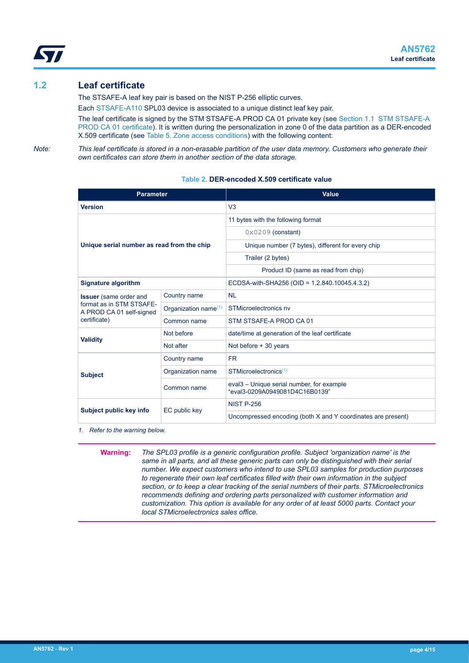<span id="page-3-0"></span>

## **1.2 Leaf certificate**

The STSAFE-A leaf key pair is based on the NIST P-256 elliptic curves.

Each [STSAFE-A110](https://www.st.com/en/product/stsafe-a110?ecmp=tt9470_gl_link_feb2019&rt=an&id=AN5762) SPL03 device is associated to a unique distinct leaf key pair.

The leaf certificate is signed by the STM STSAFE-A PROD CA 01 private key (see [Section 1.1 STM STSAFE-A](#page-2-0) [PROD CA 01 certificate\)](#page-2-0). It is written during the personalization in zone 0 of the data partition as a DER-encoded X.509 certificate (see [Table 5. Zone access conditions](#page-6-0)) with the following content:

*Note: This leaf certificate is stored in a non-erasable partition of the user data memory. Customers who generate their own certificates can store them in another section of the data storage.*

| <b>Parameter</b>                                     |                                  | Value                                                                                   |  |  |
|------------------------------------------------------|----------------------------------|-----------------------------------------------------------------------------------------|--|--|
| <b>Version</b>                                       |                                  | V <sub>3</sub>                                                                          |  |  |
| Unique serial number as read from the chip           |                                  | 11 bytes with the following format                                                      |  |  |
|                                                      |                                  | $0 \times 0209$ (constant)                                                              |  |  |
|                                                      |                                  | Unique number (7 bytes), different for every chip                                       |  |  |
|                                                      |                                  | Trailer (2 bytes)                                                                       |  |  |
|                                                      |                                  | Product ID (same as read from chip)                                                     |  |  |
| <b>Signature algorithm</b>                           |                                  | ECDSA-with-SHA256 (OID = 1.2.840.10045.4.3.2)                                           |  |  |
| <b>Issuer</b> (same order and                        | Country name                     | <b>NL</b>                                                                               |  |  |
| format as in STM STSAFE-<br>A PROD CA 01 self-signed | Organization name <sup>(1)</sup> | STMicroelectronics nv                                                                   |  |  |
| certificate)                                         | Common name                      | STM STSAFE-A PROD CA 01                                                                 |  |  |
| <b>Validity</b>                                      | Not before                       | date/time at generation of the leaf certificate                                         |  |  |
|                                                      | Not after                        | Not before + 30 years                                                                   |  |  |
|                                                      | Country name                     | <b>FR</b>                                                                               |  |  |
| <b>Subject</b>                                       | Organization name                | $STMicroelectronics(1)$                                                                 |  |  |
|                                                      | Common name                      | eval <sub>3</sub> – Unique serial number, for example<br>"eval3-0209A0949081D4C16B0139" |  |  |
| Subject public key info                              | EC public key                    | <b>NIST P-256</b>                                                                       |  |  |
|                                                      |                                  | Uncompressed encoding (both X and Y coordinates are present)                            |  |  |

#### **Table 2. DER-encoded X.509 certificate value**

*1. Refer to the warning below.*

**Warning:** *The SPL03 profile is a generic configuration profile. Subject 'organization name' is the same in all parts, and all these generic parts can only be distinguished with their serial number. We expect customers who intend to use SPL03 samples for production purposes to regenerate their own leaf certificates filled with their own information in the subject section, or to keep a clear tracking of the serial numbers of their parts. STMicroelectronics recommends defining and ordering parts personalized with customer information and customization. This option is available for any order of at least 5000 parts. Contact your local STMicroelectronics sales office.*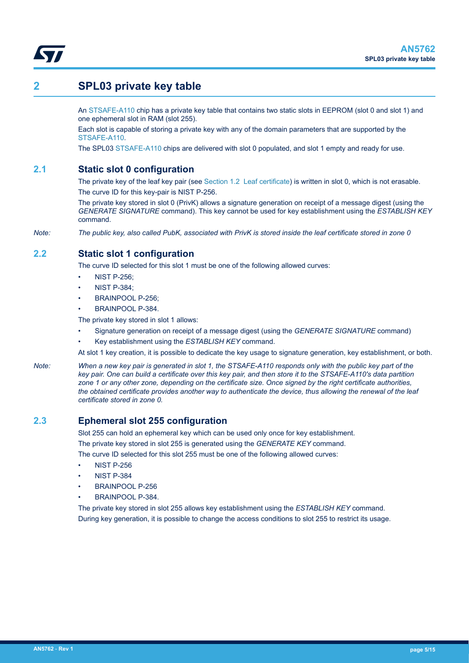<span id="page-4-0"></span>

## **2 SPL03 private key table**

An [STSAFE-A110](https://www.st.com/en/product/stsafe-a110?ecmp=tt9470_gl_link_feb2019&rt=an&id=AN5762) chip has a private key table that contains two static slots in EEPROM (slot 0 and slot 1) and one ephemeral slot in RAM (slot 255).

Each slot is capable of storing a private key with any of the domain parameters that are supported by the [STSAFE-A110.](https://www.st.com/en/product/stsafe-a110?ecmp=tt9470_gl_link_feb2019&rt=an&id=AN5762)

The SPL03 [STSAFE-A110](https://www.st.com/en/product/stsafe-a110?ecmp=tt9470_gl_link_feb2019&rt=an&id=AN5762) chips are delivered with slot 0 populated, and slot 1 empty and ready for use.

### **2.1 Static slot 0 configuration**

The private key of the leaf key pair (see [Section 1.2 Leaf certificate\)](#page-3-0) is written in slot 0, which is not erasable. The curve ID for this key-pair is NIST P-256.

The private key stored in slot 0 (PrivK) allows a signature generation on receipt of a message digest (using the *GENERATE SIGNATURE* command). This key cannot be used for key establishment using the *ESTABLISH KEY* command.

*Note: The public key, also called PubK, associated with PrivK is stored inside the leaf certificate stored in zone 0*

## **2.2 Static slot 1 configuration**

The curve ID selected for this slot 1 must be one of the following allowed curves:

- NIST P-256;
- NIST P-384;
- BRAINPOOL P-256;
- BRAINPOOL P-384.

The private key stored in slot 1 allows:

- Signature generation on receipt of a message digest (using the *GENERATE SIGNATURE* command)
- Key establishment using the *ESTABLISH KEY* command.

At slot 1 key creation, it is possible to dedicate the key usage to signature generation, key establishment, or both.

*Note: When a new key pair is generated in slot 1, the STSAFE-A110 responds only with the public key part of the key pair. One can build a certificate over this key pair, and then store it to the STSAFE-A110's data partition zone 1 or any other zone, depending on the certificate size. Once signed by the right certificate authorities, the obtained certificate provides another way to authenticate the device, thus allowing the renewal of the leaf certificate stored in zone 0.*

### **2.3 Ephemeral slot 255 configuration**

Slot 255 can hold an ephemeral key which can be used only once for key establishment. The private key stored in slot 255 is generated using the *GENERATE KEY* command.

The curve ID selected for this slot 255 must be one of the following allowed curves:

- NIST P-256
- NIST P-384
- BRAINPOOL P-256
- BRAINPOOL P-384.

The private key stored in slot 255 allows key establishment using the *ESTABLISH KEY* command. During key generation, it is possible to change the access conditions to slot 255 to restrict its usage.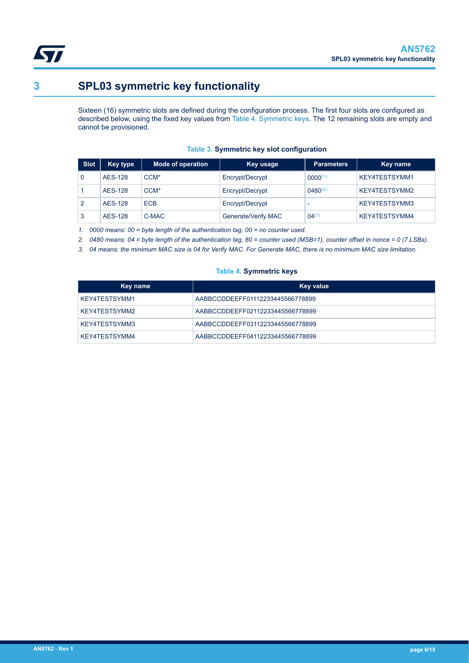

<span id="page-5-0"></span>

# **3 SPL03 symmetric key functionality**

Sixteen (16) symmetric slots are defined during the configuration process. The first four slots are configured as described below, using the fixed key values from Table 4. Symmetric keys. The 12 remaining slots are empty and cannot be provisioned.

| Slot | Key type       | <b>Mode of operation</b> | Key usage           | <b>Parameters</b> | Key name      |
|------|----------------|--------------------------|---------------------|-------------------|---------------|
|      | <b>AES-128</b> | CCM <sup>*</sup>         | Encrypt/Decrypt     | $0000^{(1)}$      | KEY4TESTSYMM1 |
|      | <b>AES-128</b> | CCM <sup>*</sup>         | Encrypt/Decrypt     | $0480^{(2)}$      | KEY4TESTSYMM2 |
|      | <b>AES-128</b> | <b>ECB</b>               | Encrypt/Decrypt     | -                 | KEY4TESTSYMM3 |
|      | <b>AES-128</b> | C-MAC                    | Generate/Verify MAC | $04^{(3)}$        | KEY4TESTSYMM4 |

#### **Table 3. Symmetric key slot configuration**

*1. 0000 means: 00 = byte length of the authentication tag, 00 = no counter used.*

*2. 0480 means: 04 = byte length of the authentication tag, 80 = counter used (MSB=1), counter offset in nonce = 0 (7 LSBs).*

*3. 04 means: the minimum MAC size is 04 for Verify MAC. For Generate MAC, there is no minimum MAC size limitation.*

#### **Table 4. Symmetric keys**

| Key name      | Key value                        |
|---------------|----------------------------------|
| KEY4TESTSYMM1 | AABBCCDDEEFF01112233445566778899 |
| KEY4TESTSYMM2 | AABBCCDDEEFF02112233445566778899 |
| KEY4TESTSYMM3 | AABBCCDDEEFF03112233445566778899 |
| KEY4TESTSYMM4 | AABBCCDDEEFF04112233445566778899 |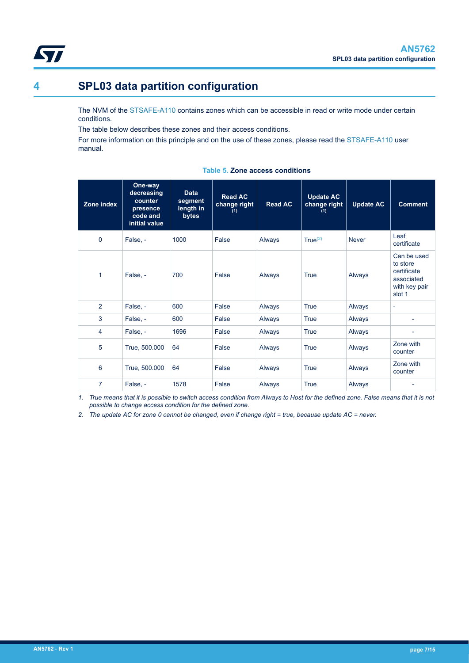<span id="page-6-0"></span>

# **4 SPL03 data partition configuration**

The NVM of the [STSAFE-A110](https://www.st.com/en/product/stsafe-a110?ecmp=tt9470_gl_link_feb2019&rt=an&id=AN5762) contains zones which can be accessible in read or write mode under certain conditions.

The table below describes these zones and their access conditions.

For more information on this principle and on the use of these zones, please read the [STSAFE-A110](https://www.st.com/en/product/stsafe-a110?ecmp=tt9470_gl_link_feb2019&rt=an&id=AN5762) user manual.

| Zone index     | One-way<br>decreasing<br>counter<br>presence<br>code and<br>initial value | <b>Data</b><br>segment<br>length in<br>bytes | <b>Read AC</b><br>change right<br>(1) | <b>Read AC</b> | <b>Update AC</b><br>change right<br>(1) | <b>Update AC</b> | <b>Comment</b>                                                                  |
|----------------|---------------------------------------------------------------------------|----------------------------------------------|---------------------------------------|----------------|-----------------------------------------|------------------|---------------------------------------------------------------------------------|
| $\Omega$       | False, -                                                                  | 1000                                         | False                                 | Always         | True <sup>(2)</sup>                     | <b>Never</b>     | Leaf<br>certificate                                                             |
| 1              | False, -                                                                  | 700                                          | False                                 | Always         | <b>True</b>                             | Always           | Can be used<br>to store<br>certificate<br>associated<br>with key pair<br>slot 1 |
| $\overline{2}$ | False, -                                                                  | 600                                          | False                                 | Always         | True                                    | Always           | $\overline{\phantom{a}}$                                                        |
| 3              | False, -                                                                  | 600                                          | False                                 | Always         | True                                    | Always           |                                                                                 |
| 4              | False, -                                                                  | 1696                                         | False                                 | Always         | <b>True</b>                             | Always           | $\blacksquare$                                                                  |
| 5              | True, 500.000                                                             | 64                                           | False                                 | Always         | <b>True</b>                             | Always           | Zone with<br>counter                                                            |
| 6              | True, 500.000                                                             | 64                                           | False                                 | Always         | True                                    | Always           | Zone with<br>counter                                                            |
| $\overline{7}$ | False, -                                                                  | 1578                                         | False                                 | Always         | True                                    | Always           |                                                                                 |

#### **Table 5. Zone access conditions**

*1. True means that it is possible to switch access condition from Always to Host for the defined zone. False means that it is not possible to change access condition for the defined zone.*

*2. The update AC for zone 0 cannot be changed, even if change right = true, because update AC = never.*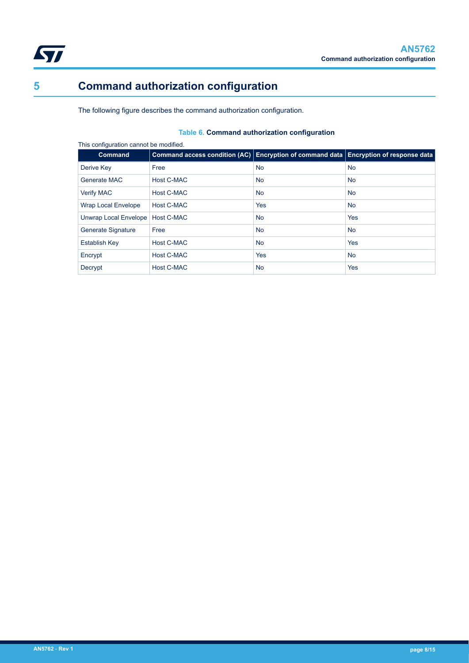<span id="page-7-0"></span>

# **5 Command authorization configuration**

The following figure describes the command authorization configuration.

### **Table 6. Command authorization configuration**

| <b>Command</b>             | Command access condition (AC) Encryption of command data Encryption of response data |            |            |
|----------------------------|--------------------------------------------------------------------------------------|------------|------------|
| Derive Key                 | Free                                                                                 | <b>No</b>  | <b>No</b>  |
| Generate MAC               | Host C-MAC                                                                           | <b>No</b>  | <b>No</b>  |
| <b>Verify MAC</b>          | Host C-MAC                                                                           | <b>No</b>  | <b>No</b>  |
| <b>Wrap Local Envelope</b> | Host C-MAC                                                                           | <b>Yes</b> | <b>No</b>  |
| Unwrap Local Envelope      | Host C-MAC                                                                           | <b>No</b>  | <b>Yes</b> |
| <b>Generate Signature</b>  | Free                                                                                 | <b>No</b>  | <b>No</b>  |
| <b>Establish Key</b>       | Host C-MAC                                                                           | <b>No</b>  | <b>Yes</b> |
| Encrypt                    | <b>Host C-MAC</b>                                                                    | <b>Yes</b> | <b>No</b>  |
| Decrypt                    | <b>Host C-MAC</b>                                                                    | <b>No</b>  | <b>Yes</b> |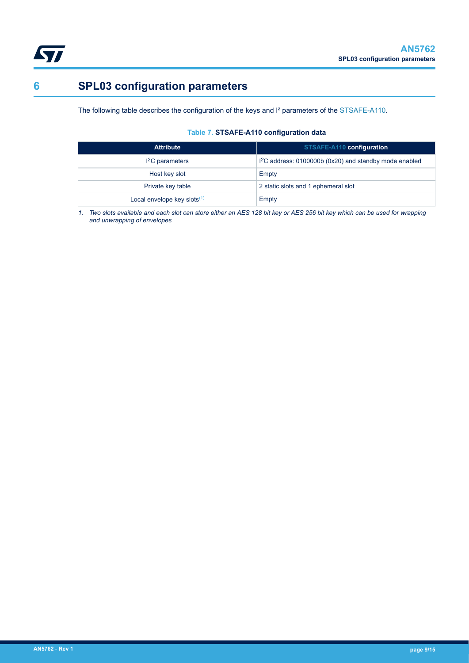<span id="page-8-0"></span>

# **6 SPL03 configuration parameters**

The following table describes the configuration of the keys and I² parameters of the [STSAFE-A110.](https://www.st.com/en/product/stsafe-a110?ecmp=tt9470_gl_link_feb2019&rt=an&id=AN5762)

#### **Table 7. STSAFE-A110 configuration data**

| <b>Attribute</b>               | STSAFE-A110 configuration                               |
|--------------------------------|---------------------------------------------------------|
| $I2C$ parameters               | $12C$ address: 0100000b (0x20) and standby mode enabled |
| Host key slot                  | Empty                                                   |
| Private key table              | 2 static slots and 1 ephemeral slot                     |
| Local envelope key slots $(1)$ | Empty                                                   |

*1. Two slots available and each slot can store either an AES 128 bit key or AES 256 bit key which can be used for wrapping and unwrapping of envelopes*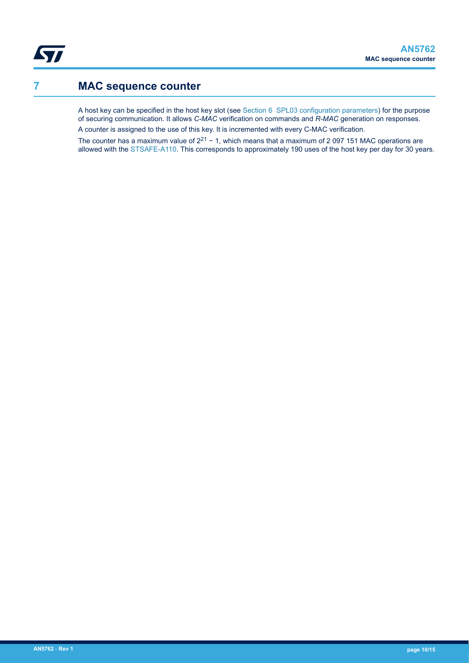<span id="page-9-0"></span>**Kyr** 

## **7 MAC sequence counter**

A host key can be specified in the host key slot (see [Section 6 SPL03 configuration parameters\)](#page-8-0) for the purpose of securing communication. It allows *[C-MAC](#page-11-0)* verification on commands and *[R-MAC](#page-11-0)* generation on responses. A counter is assigned to the use of this key. It is incremented with every C-MAC verification.

The counter has a maximum value of  $2^{21}$  – 1, which means that a maximum of 2 097 151 MAC operations are allowed with the [STSAFE-A110](https://www.st.com/en/product/stsafe-a110?ecmp=tt9470_gl_link_feb2019&rt=an&id=AN5762). This corresponds to approximately 190 uses of the host key per day for 30 years.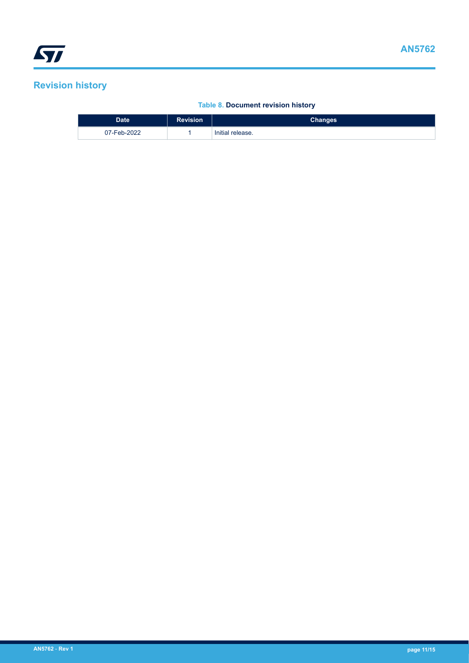# <span id="page-10-0"></span>**Revision history**

### **Table 8. Document revision history**

| <b>Date</b> | <b>Revision</b> | Changes          |
|-------------|-----------------|------------------|
| 07-Feb-2022 |                 | Initial release. |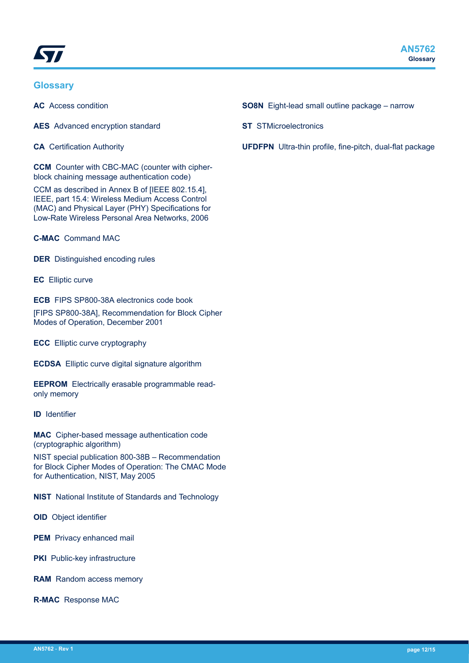<span id="page-11-0"></span>

### **Glossary**

**AC** Access condition

**AES** Advanced encryption standard

**CA** Certification Authority

**CCM** Counter with CBC-MAC (counter with cipherblock chaining message authentication code)

CCM as described in Annex B of [IEEE 802.15.4], IEEE, part 15.4: Wireless Medium Access Control (MAC) and Physical Layer (PHY) Specifications for Low-Rate Wireless Personal Area Networks, 2006

**C-MAC** Command MAC

**DER** Distinguished encoding rules

**EC** Elliptic curve

**ECB** FIPS SP800-38A electronics code book

[FIPS SP800-38A], Recommendation for Block Cipher Modes of Operation, December 2001

**ECC** Elliptic curve cryptography

**ECDSA** Elliptic curve digital signature algorithm

**EEPROM** Electrically erasable programmable readonly memory

**ID** Identifier

**MAC** Cipher-based message authentication code (cryptographic algorithm)

NIST special publication 800-38B – Recommendation for Block Cipher Modes of Operation: The CMAC Mode for Authentication, NIST, May 2005

**NIST** National Institute of Standards and Technology

**OID** Object identifier

**PEM** Privacy enhanced mail

**PKI** Public-key infrastructure

**RAM** Random access memory

**R-MAC** Response MAC

- **SO8N** Eight-lead small outline package narrow
- **ST** STMicroelectronics
- **UFDFPN** Ultra-thin profile, fine-pitch, dual-flat package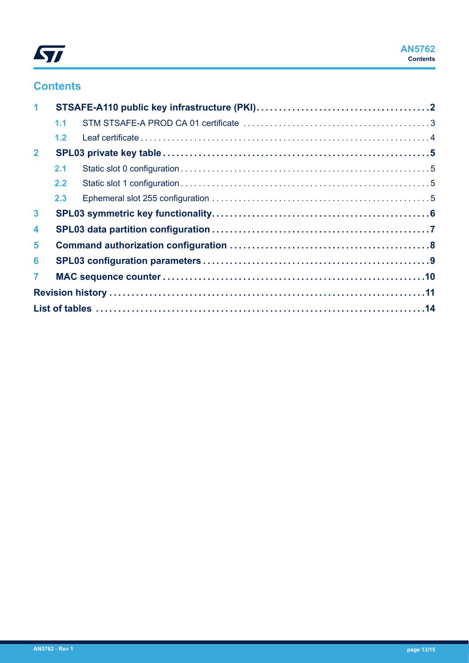

## **Contents**

| $\mathbf{1}$   |     |  |
|----------------|-----|--|
|                | 1.1 |  |
|                | 1.2 |  |
| $\overline{2}$ |     |  |
|                | 2.1 |  |
|                | 2.2 |  |
|                | 2.3 |  |
| $\mathbf{3}$   |     |  |
| 4              |     |  |
| 5              |     |  |
| 6              |     |  |
| $\overline{7}$ |     |  |
|                |     |  |
|                |     |  |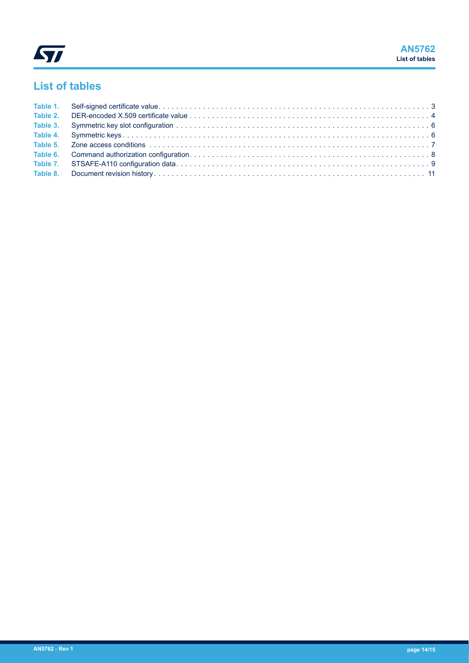<span id="page-13-0"></span>

# **List of tables**